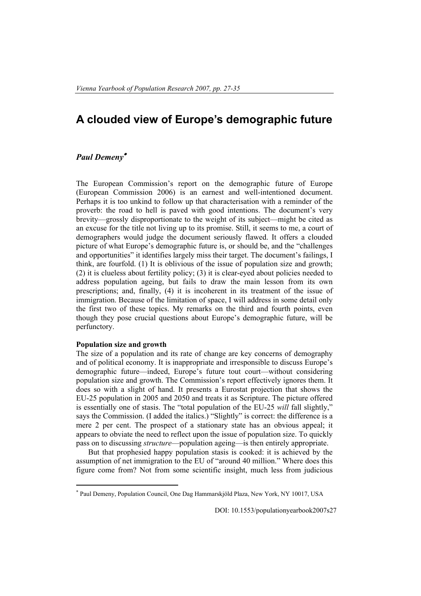# **A clouded view of Europe's demographic future**

# *Paul Demeny*<sup>∗</sup>

The European Commission's report on the demographic future of Europe (European Commission 2006) is an earnest and well-intentioned document. Perhaps it is too unkind to follow up that characterisation with a reminder of the proverb: the road to hell is paved with good intentions. The document's very brevity—grossly disproportionate to the weight of its subject—might be cited as an excuse for the title not living up to its promise. Still, it seems to me, a court of demographers would judge the document seriously flawed. It offers a clouded picture of what Europe's demographic future is, or should be, and the "challenges and opportunities" it identifies largely miss their target. The document's failings, I think, are fourfold. (1) It is oblivious of the issue of population size and growth; (2) it is clueless about fertility policy; (3) it is clear-eyed about policies needed to address population ageing, but fails to draw the main lesson from its own prescriptions; and, finally, (4) it is incoherent in its treatment of the issue of immigration. Because of the limitation of space, I will address in some detail only the first two of these topics. My remarks on the third and fourth points, even though they pose crucial questions about Europe's demographic future, will be perfunctory.

## **Population size and growth**

 $\overline{a}$ 

The size of a population and its rate of change are key concerns of demography and of political economy. It is inappropriate and irresponsible to discuss Europe's demographic future—indeed, Europe's future tout court—without considering population size and growth. The Commission's report effectively ignores them. It does so with a slight of hand. It presents a Eurostat projection that shows the EU-25 population in 2005 and 2050 and treats it as Scripture. The picture offered is essentially one of stasis. The "total population of the EU-25 *will* fall slightly," says the Commission. (I added the italics.) "Slightly" is correct: the difference is a mere 2 per cent. The prospect of a stationary state has an obvious appeal; it appears to obviate the need to reflect upon the issue of population size. To quickly pass on to discussing *structure*—population ageing—is then entirely appropriate.

But that prophesied happy population stasis is cooked: it is achieved by the assumption of net immigration to the EU of "around 40 million." Where does this figure come from? Not from some scientific insight, much less from judicious

DOI: 10.1553/populationyearbook2007s27

<sup>∗</sup> Paul Demeny, Population Council, One Dag Hammarskjöld Plaza, New York, NY 10017, USA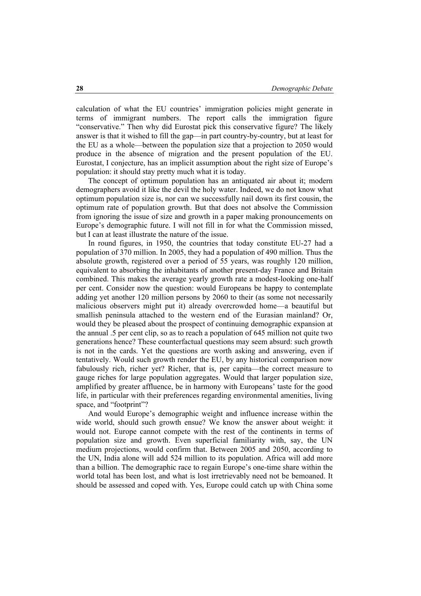calculation of what the EU countries' immigration policies might generate in terms of immigrant numbers. The report calls the immigration figure "conservative." Then why did Eurostat pick this conservative figure? The likely answer is that it wished to fill the gap—in part country-by-country, but at least for the EU as a whole—between the population size that a projection to 2050 would produce in the absence of migration and the present population of the EU. Eurostat, I conjecture, has an implicit assumption about the right size of Europe's population: it should stay pretty much what it is today.

The concept of optimum population has an antiquated air about it; modern demographers avoid it like the devil the holy water. Indeed, we do not know what optimum population size is, nor can we successfully nail down its first cousin, the optimum rate of population growth. But that does not absolve the Commission from ignoring the issue of size and growth in a paper making pronouncements on Europe's demographic future. I will not fill in for what the Commission missed, but I can at least illustrate the nature of the issue.

In round figures, in 1950, the countries that today constitute EU-27 had a population of 370 million. In 2005, they had a population of 490 million. Thus the absolute growth, registered over a period of 55 years, was roughly 120 million, equivalent to absorbing the inhabitants of another present-day France and Britain combined. This makes the average yearly growth rate a modest-looking one-half per cent. Consider now the question: would Europeans be happy to contemplate adding yet another 120 million persons by 2060 to their (as some not necessarily malicious observers might put it) already overcrowded home—a beautiful but smallish peninsula attached to the western end of the Eurasian mainland? Or, would they be pleased about the prospect of continuing demographic expansion at the annual .5 per cent clip, so as to reach a population of 645 million not quite two generations hence? These counterfactual questions may seem absurd: such growth is not in the cards. Yet the questions are worth asking and answering, even if tentatively. Would such growth render the EU, by any historical comparison now fabulously rich, richer yet? Richer, that is, per capita—the correct measure to gauge riches for large population aggregates. Would that larger population size, amplified by greater affluence, be in harmony with Europeans' taste for the good life, in particular with their preferences regarding environmental amenities, living space, and "footprint"?

And would Europe's demographic weight and influence increase within the wide world, should such growth ensue? We know the answer about weight: it would not. Europe cannot compete with the rest of the continents in terms of population size and growth. Even superficial familiarity with, say, the UN medium projections, would confirm that. Between 2005 and 2050, according to the UN, India alone will add 524 million to its population. Africa will add more than a billion. The demographic race to regain Europe's one-time share within the world total has been lost, and what is lost irretrievably need not be bemoaned. It should be assessed and coped with. Yes, Europe could catch up with China some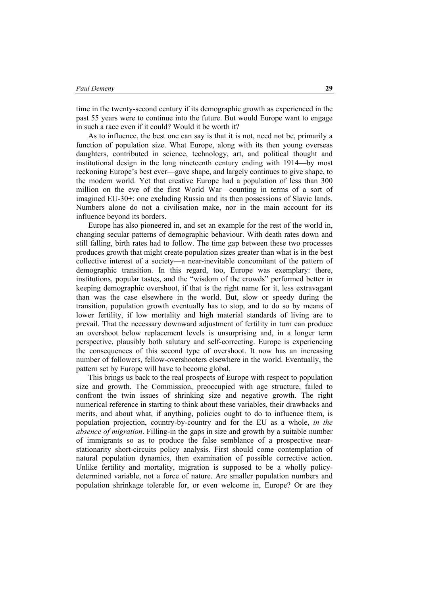time in the twenty-second century if its demographic growth as experienced in the past 55 years were to continue into the future. But would Europe want to engage in such a race even if it could? Would it be worth it?

As to influence, the best one can say is that it is not, need not be, primarily a function of population size. What Europe, along with its then young overseas daughters, contributed in science, technology, art, and political thought and institutional design in the long nineteenth century ending with 1914—by most reckoning Europe's best ever—gave shape, and largely continues to give shape, to the modern world. Yet that creative Europe had a population of less than 300 million on the eve of the first World War—counting in terms of a sort of imagined EU-30+: one excluding Russia and its then possessions of Slavic lands. Numbers alone do not a civilisation make, nor in the main account for its influence beyond its borders.

Europe has also pioneered in, and set an example for the rest of the world in, changing secular patterns of demographic behaviour. With death rates down and still falling, birth rates had to follow. The time gap between these two processes produces growth that might create population sizes greater than what is in the best collective interest of a society—a near-inevitable concomitant of the pattern of demographic transition. In this regard, too, Europe was exemplary: there, institutions, popular tastes, and the "wisdom of the crowds" performed better in keeping demographic overshoot, if that is the right name for it, less extravagant than was the case elsewhere in the world. But, slow or speedy during the transition, population growth eventually has to stop, and to do so by means of lower fertility, if low mortality and high material standards of living are to prevail. That the necessary downward adjustment of fertility in turn can produce an overshoot below replacement levels is unsurprising and, in a longer term perspective, plausibly both salutary and self-correcting. Europe is experiencing the consequences of this second type of overshoot. It now has an increasing number of followers, fellow-overshooters elsewhere in the world. Eventually, the pattern set by Europe will have to become global.

This brings us back to the real prospects of Europe with respect to population size and growth. The Commission, preoccupied with age structure, failed to confront the twin issues of shrinking size and negative growth. The right numerical reference in starting to think about these variables, their drawbacks and merits, and about what, if anything, policies ought to do to influence them, is population projection, country-by-country and for the EU as a whole, *in the absence of migration*. Filling-in the gaps in size and growth by a suitable number of immigrants so as to produce the false semblance of a prospective nearstationarity short-circuits policy analysis. First should come contemplation of natural population dynamics, then examination of possible corrective action. Unlike fertility and mortality, migration is supposed to be a wholly policydetermined variable, not a force of nature. Are smaller population numbers and population shrinkage tolerable for, or even welcome in, Europe? Or are they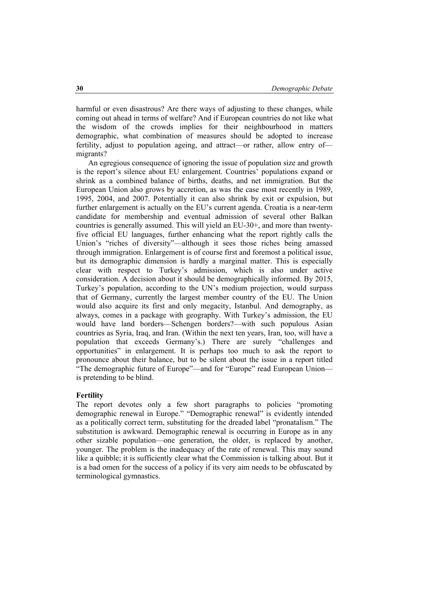harmful or even disastrous? Are there ways of adjusting to these changes, while coming out ahead in terms of welfare? And if European countries do not like what the wisdom of the crowds implies for their neighbourhood in matters demographic, what combination of measures should be adopted to increase fertility, adjust to population ageing, and attract—or rather, allow entry of migrants?

An egregious consequence of ignoring the issue of population size and growth is the report's silence about EU enlargement. Countries' populations expand or shrink as a combined balance of births, deaths, and net immigration. But the European Union also grows by accretion, as was the case most recently in 1989, 1995, 2004, and 2007. Potentially it can also shrink by exit or expulsion, but further enlargement is actually on the EU's current agenda. Croatia is a near-term candidate for membership and eventual admission of several other Balkan countries is generally assumed. This will yield an EU-30+, and more than twentyfive official EU languages, further enhancing what the report rightly calls the Union's "riches of diversity"—although it sees those riches being amassed through immigration. Enlargement is of course first and foremost a political issue, but its demographic dimension is hardly a marginal matter. This is especially clear with respect to Turkey's admission, which is also under active consideration. A decision about it should be demographically informed. By 2015, Turkey's population, according to the UN's medium projection, would surpass that of Germany, currently the largest member country of the EU. The Union would also acquire its first and only megacity, Istanbul. And demography, as always, comes in a package with geography. With Turkey's admission, the EU would have land borders—Schengen borders?—with such populous Asian countries as Syria, Iraq, and Iran. (Within the next ten years, Iran, too, will have a population that exceeds Germany's.) There are surely "challenges and opportunities" in enlargement. It is perhaps too much to ask the report to pronounce about their balance, but to be silent about the issue in a report titled "The demographic future of Europe"—and for "Europe" read European Union is pretending to be blind.

### **Fertility**

The report devotes only a few short paragraphs to policies "promoting demographic renewal in Europe." "Demographic renewal" is evidently intended as a politically correct term, substituting for the dreaded label "pronatalism." The substitution is awkward. Demographic renewal is occurring in Europe as in any other sizable population—one generation, the older, is replaced by another, younger. The problem is the inadequacy of the rate of renewal. This may sound like a quibble; it is sufficiently clear what the Commission is talking about. But it is a bad omen for the success of a policy if its very aim needs to be obfuscated by terminological gymnastics.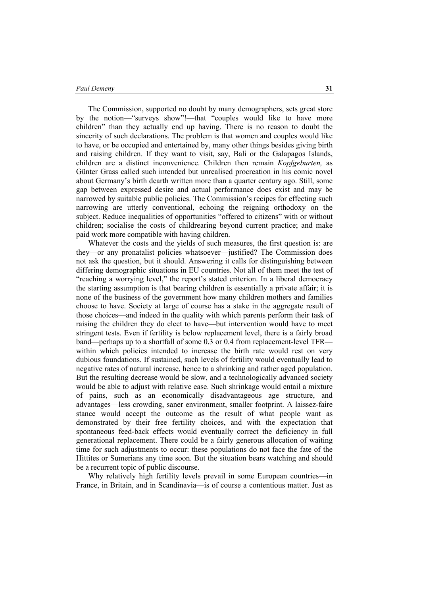#### *Paul Demeny* **31**

The Commission, supported no doubt by many demographers, sets great store by the notion—"surveys show"!—that "couples would like to have more children" than they actually end up having. There is no reason to doubt the sincerity of such declarations. The problem is that women and couples would like to have, or be occupied and entertained by, many other things besides giving birth and raising children. If they want to visit, say, Bali or the Galapagos Islands, children are a distinct inconvenience. Children then remain *Kopfgeburten,* as Günter Grass called such intended but unrealised procreation in his comic novel about Germany's birth dearth written more than a quarter century ago. Still, some gap between expressed desire and actual performance does exist and may be narrowed by suitable public policies. The Commission's recipes for effecting such narrowing are utterly conventional, echoing the reigning orthodoxy on the subject. Reduce inequalities of opportunities "offered to citizens" with or without children; socialise the costs of childrearing beyond current practice; and make paid work more compatible with having children.

Whatever the costs and the yields of such measures, the first question is: are they—or any pronatalist policies whatsoever—justified? The Commission does not ask the question, but it should. Answering it calls for distinguishing between differing demographic situations in EU countries. Not all of them meet the test of "reaching a worrying level," the report's stated criterion. In a liberal democracy the starting assumption is that bearing children is essentially a private affair; it is none of the business of the government how many children mothers and families choose to have. Society at large of course has a stake in the aggregate result of those choices—and indeed in the quality with which parents perform their task of raising the children they do elect to have—but intervention would have to meet stringent tests. Even if fertility is below replacement level, there is a fairly broad band—perhaps up to a shortfall of some 0.3 or 0.4 from replacement-level TFR within which policies intended to increase the birth rate would rest on very dubious foundations. If sustained, such levels of fertility would eventually lead to negative rates of natural increase, hence to a shrinking and rather aged population. But the resulting decrease would be slow, and a technologically advanced society would be able to adjust with relative ease. Such shrinkage would entail a mixture of pains, such as an economically disadvantageous age structure, and advantages—less crowding, saner environment, smaller footprint. A laissez-faire stance would accept the outcome as the result of what people want as demonstrated by their free fertility choices, and with the expectation that spontaneous feed-back effects would eventually correct the deficiency in full generational replacement. There could be a fairly generous allocation of waiting time for such adjustments to occur: these populations do not face the fate of the Hittites or Sumerians any time soon. But the situation bears watching and should be a recurrent topic of public discourse.

Why relatively high fertility levels prevail in some European countries—in France, in Britain, and in Scandinavia—is of course a contentious matter. Just as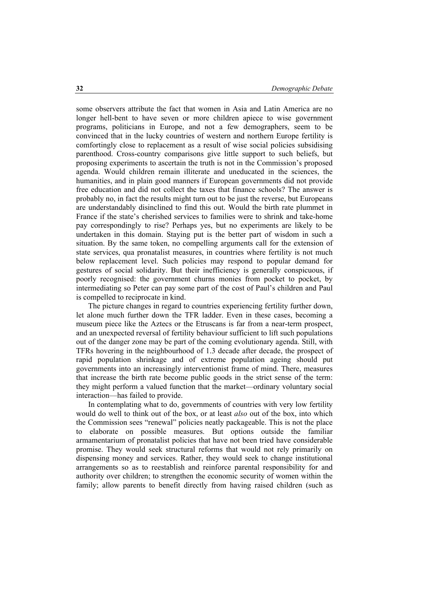some observers attribute the fact that women in Asia and Latin America are no longer hell-bent to have seven or more children apiece to wise government programs, politicians in Europe, and not a few demographers, seem to be convinced that in the lucky countries of western and northern Europe fertility is comfortingly close to replacement as a result of wise social policies subsidising parenthood. Cross-country comparisons give little support to such beliefs, but proposing experiments to ascertain the truth is not in the Commission's proposed agenda. Would children remain illiterate and uneducated in the sciences, the humanities, and in plain good manners if European governments did not provide free education and did not collect the taxes that finance schools? The answer is probably no, in fact the results might turn out to be just the reverse, but Europeans are understandably disinclined to find this out. Would the birth rate plummet in France if the state's cherished services to families were to shrink and take-home pay correspondingly to rise? Perhaps yes, but no experiments are likely to be undertaken in this domain. Staying put is the better part of wisdom in such a situation. By the same token, no compelling arguments call for the extension of state services, qua pronatalist measures, in countries where fertility is not much below replacement level. Such policies may respond to popular demand for gestures of social solidarity. But their inefficiency is generally conspicuous, if poorly recognised: the government churns monies from pocket to pocket, by intermediating so Peter can pay some part of the cost of Paul's children and Paul is compelled to reciprocate in kind.

The picture changes in regard to countries experiencing fertility further down, let alone much further down the TFR ladder. Even in these cases, becoming a museum piece like the Aztecs or the Etruscans is far from a near-term prospect, and an unexpected reversal of fertility behaviour sufficient to lift such populations out of the danger zone may be part of the coming evolutionary agenda. Still, with TFRs hovering in the neighbourhood of 1.3 decade after decade, the prospect of rapid population shrinkage and of extreme population ageing should put governments into an increasingly interventionist frame of mind. There, measures that increase the birth rate become public goods in the strict sense of the term: they might perform a valued function that the market—ordinary voluntary social interaction—has failed to provide.

In contemplating what to do, governments of countries with very low fertility would do well to think out of the box, or at least *also* out of the box, into which the Commission sees "renewal" policies neatly packageable. This is not the place to elaborate on possible measures. But options outside the familiar armamentarium of pronatalist policies that have not been tried have considerable promise. They would seek structural reforms that would not rely primarily on dispensing money and services. Rather, they would seek to change institutional arrangements so as to reestablish and reinforce parental responsibility for and authority over children; to strengthen the economic security of women within the family; allow parents to benefit directly from having raised children (such as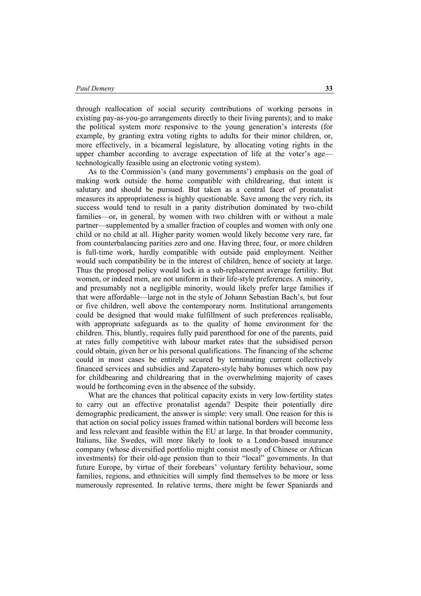through reallocation of social security contributions of working persons in existing pay-as-you-go arrangements directly to their living parents); and to make the political system more responsive to the young generation's interests (for example, by granting extra voting rights to adults for their minor children, or, more effectively, in a bicameral legislature, by allocating voting rights in the upper chamber according to average expectation of life at the voter's age technologically feasible using an electronic voting system).

As to the Commission's (and many governments') emphasis on the goal of making work outside the home compatible with childrearing, that intent is salutary and should be pursued. But taken as a central facet of pronatalist measures its appropriateness is highly questionable. Save among the very rich, its success would tend to result in a parity distribution dominated by two-child families—or, in general, by women with two children with or without a male partner—supplemented by a smaller fraction of couples and women with only one child or no child at all. Higher parity women would likely become very rare, far from counterbalancing parities zero and one. Having three, four, or more children is full-time work, hardly compatible with outside paid employment. Neither would such compatibility be in the interest of children, hence of society at large. Thus the proposed policy would lock in a sub-replacement average fertility. But women, or indeed men, are not uniform in their life-style preferences. A minority, and presumably not a negligible minority, would likely prefer large families if that were affordable—large not in the style of Johann Sebastian Bach's, but four or five children, well above the contemporary norm. Institutional arrangements could be designed that would make fulfillment of such preferences realisable, with appropriate safeguards as to the quality of home environment for the children. This, bluntly, requires fully paid parenthood for one of the parents, paid at rates fully competitive with labour market rates that the subsidised person could obtain, given her or his personal qualifications. The financing of the scheme could in most cases be entirely secured by terminating current collectively financed services and subsidies and Zapatero-style baby bonuses which now pay for childbearing and childrearing that in the overwhelming majority of cases would be forthcoming even in the absence of the subsidy.

What are the chances that political capacity exists in very low-fertility states to carry out an effective pronatalist agenda? Despite their potentially dire demographic predicament, the answer is simple: very small. One reason for this is that action on social policy issues framed within national borders will become less and less relevant and feasible within the EU at large. In that broader community, Italians, like Swedes, will more likely to look to a London-based insurance company (whose diversified portfolio might consist mostly of Chinese or African investments) for their old-age pension than to their "local" governments. In that future Europe, by virtue of their forebears' voluntary fertility behaviour, some families, regions, and ethnicities will simply find themselves to be more or less numerously represented. In relative terms, there might be fewer Spaniards and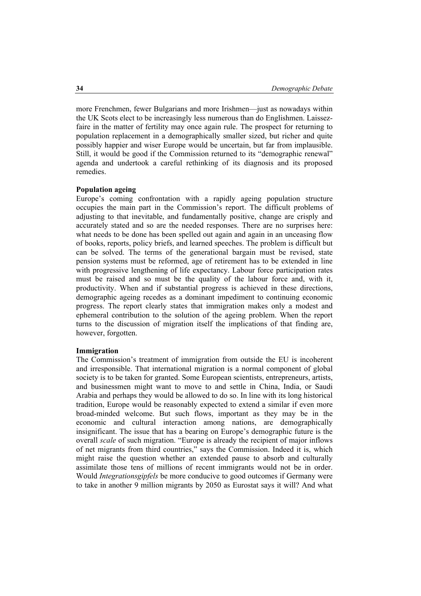more Frenchmen, fewer Bulgarians and more Irishmen—just as nowadays within the UK Scots elect to be increasingly less numerous than do Englishmen. Laissezfaire in the matter of fertility may once again rule. The prospect for returning to population replacement in a demographically smaller sized, but richer and quite possibly happier and wiser Europe would be uncertain, but far from implausible. Still, it would be good if the Commission returned to its "demographic renewal" agenda and undertook a careful rethinking of its diagnosis and its proposed remedies.

## **Population ageing**

Europe's coming confrontation with a rapidly ageing population structure occupies the main part in the Commission's report. The difficult problems of adjusting to that inevitable, and fundamentally positive, change are crisply and accurately stated and so are the needed responses. There are no surprises here: what needs to be done has been spelled out again and again in an unceasing flow of books, reports, policy briefs, and learned speeches. The problem is difficult but can be solved. The terms of the generational bargain must be revised, state pension systems must be reformed, age of retirement has to be extended in line with progressive lengthening of life expectancy. Labour force participation rates must be raised and so must be the quality of the labour force and, with it, productivity. When and if substantial progress is achieved in these directions, demographic ageing recedes as a dominant impediment to continuing economic progress. The report clearly states that immigration makes only a modest and ephemeral contribution to the solution of the ageing problem. When the report turns to the discussion of migration itself the implications of that finding are, however, forgotten.

#### **Immigration**

The Commission's treatment of immigration from outside the EU is incoherent and irresponsible. That international migration is a normal component of global society is to be taken for granted. Some European scientists, entrepreneurs, artists, and businessmen might want to move to and settle in China, India, or Saudi Arabia and perhaps they would be allowed to do so. In line with its long historical tradition, Europe would be reasonably expected to extend a similar if even more broad-minded welcome. But such flows, important as they may be in the economic and cultural interaction among nations, are demographically insignificant. The issue that has a bearing on Europe's demographic future is the overall *scale* of such migration. "Europe is already the recipient of major inflows of net migrants from third countries," says the Commission. Indeed it is, which might raise the question whether an extended pause to absorb and culturally assimilate those tens of millions of recent immigrants would not be in order. Would *Integrationsgipfels* be more conducive to good outcomes if Germany were to take in another 9 million migrants by 2050 as Eurostat says it will? And what